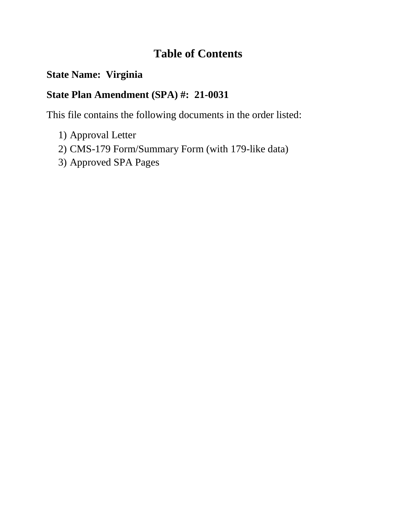# **Table of Contents**

## **State Name: Virginia**

## **State Plan Amendment (SPA) #: 21-0031**

This file contains the following documents in the order listed:

- 1) Approval Letter
- 2) CMS-179 Form/Summary Form (with 179-like data)
- 3) Approved SPA Pages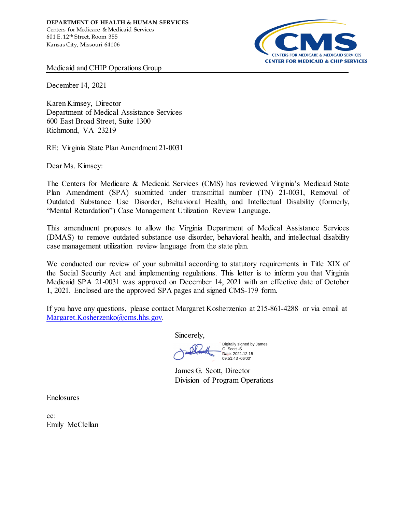

Medicaid and CHIP Operations Group

December 14, 2021

Karen Kimsey, Director Department of Medical Assistance Services 600 East Broad Street, Suite 1300 Richmond, VA 23219

RE: Virginia State Plan Amendment 21-0031

Dear Ms. Kimsey:

The Centers for Medicare & Medicaid Services (CMS) has reviewed Virginia's Medicaid State Plan Amendment (SPA) submitted under transmittal number (TN) 21-0031, Removal of Outdated Substance Use Disorder, Behavioral Health, and Intellectual Disability (formerly, "Mental Retardation") Case Management Utilization Review Language.

This amendment proposes to allow the Virginia Department of Medical Assistance Services (DMAS) to remove outdated substance use disorder, behavioral health, and intellectual disability case management utilization review language from the state plan.

We conducted our review of your submittal according to statutory requirements in Title XIX of the Social Security Act and implementing regulations. This letter is to inform you that Virginia Medicaid SPA 21-0031 was approved on December 14, 2021 with an effective date of October 1, 2021. Enclosed are the approved SPA pages and signed CMS-179 form.

If you have any questions, please contact Margaret Kosherzenko at 215-861-4288 or via email at [Margaret.Kosherzenko@cms.hhs.gov.](mailto:Margaret.Kosherzenko@cms.hhs.gov) 

Sincerely,

Digitally signed by James G. Scott -S Date: 2021.12.15 09:51:43 -06'00'

James G. Scott, Director Division of Program Operations

Enclosures

cc: Emily McClellan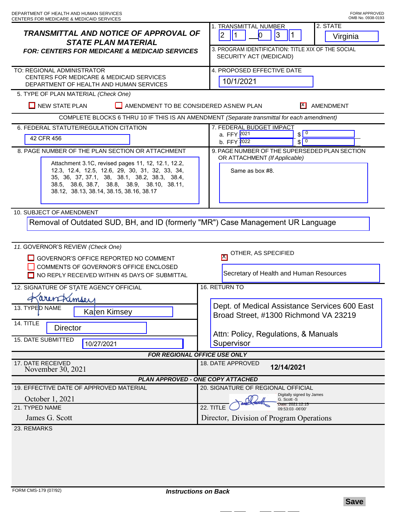|                                                                                                  | 2. STATE<br>1. TRANSMITTAL NUMBER                               |
|--------------------------------------------------------------------------------------------------|-----------------------------------------------------------------|
| TRANSMITTAL AND NOTICE OF APPROVAL OF<br><b>STATE PLAN MATERIAL</b>                              | $ 2\rangle$<br>3<br>l 1<br>$\bf{0}$<br>Virginia                 |
| <b>FOR: CENTERS FOR MEDICARE &amp; MEDICAID SERVICES</b>                                         | 3. PROGRAM IDENTIFICATION: TITLE XIX OF THE SOCIAL              |
|                                                                                                  | SECURITY ACT (MEDICAID)                                         |
| TO: REGIONAL ADMINISTRATOR                                                                       | 4. PROPOSED EFFECTIVE DATE                                      |
| CENTERS FOR MEDICARE & MEDICAID SERVICES<br>DEPARTMENT OF HEALTH AND HUMAN SERVICES              | 10/1/2021                                                       |
| 5. TYPE OF PLAN MATERIAL (Check One)                                                             |                                                                 |
| $\Box$ NEW STATE PLAN<br>H<br>AMENDMENT TO BE CONSIDERED ASNEW PLAN<br>AMENDMENT                 |                                                                 |
| COMPLETE BLOCKS 6 THRU 10 IF THIS IS AN AMENDMENT (Separate transmittal for each amendment)      |                                                                 |
| 6. FEDERAL STATUTE/REGULATION CITATION                                                           | 7. FEDERAL BUDGET IMPACT<br>$\sqrt{0}$<br>a. FFY 2021           |
| 42 CFR 456                                                                                       | b. FFY 2022<br>S <sup>0</sup>                                   |
| 8. PAGE NUMBER OF THE PLAN SECTION OR ATTACHMENT                                                 | 9. PAGE NUMBER OF THE SUPERSEDED PLAN SECTION                   |
| Attachment 3.1C, revised pages 11, 12, 12.1, 12.2,                                               | OR ATTACHMENT (If Applicable)                                   |
| 12.3, 12.4, 12.5, 12.6, 29, 30, 31, 32, 33, 34,<br>35, 36, 37, 37.1, 38, 38.1, 38.2, 38.3, 38.4, | Same as box #8.                                                 |
| 38.5, 38.6, 38.7, 38.8, 38.9, 38.10, 38.11,                                                      |                                                                 |
| 38.12, 38.13, 38.14, 38.15, 38.16, 38.17                                                         |                                                                 |
| 10. SUBJECT OF AMENDMENT                                                                         |                                                                 |
| Removal of Outdated SUD, BH, and ID (formerly "MR") Case Management UR Language                  |                                                                 |
|                                                                                                  |                                                                 |
| 11. GOVERNOR'S REVIEW (Check One)                                                                |                                                                 |
| GOVERNOR'S OFFICE REPORTED NO COMMENT                                                            | OTHER, AS SPECIFIED<br>$\mathbf{X}$                             |
| COMMENTS OF GOVERNOR'S OFFICE ENCLOSED                                                           |                                                                 |
| NO REPLY RECEIVED WITHIN 45 DAYS OF SUBMITTAL                                                    | Secretary of Health and Human Resources                         |
| 12. SIGNATURE OF STATE AGENCY OFFICIAL                                                           | 16. RETURN TO                                                   |
| arentimous                                                                                       |                                                                 |
| 13. TYPED NAME<br>Karen Kimsey                                                                   | Dept. of Medical Assistance Services 600 East                   |
| 14. TITLE                                                                                        | Broad Street, #1300 Richmond VA 23219                           |
| <b>Director</b>                                                                                  | Attn: Policy, Regulations, & Manuals                            |
| 15. DATE SUBMITTED<br>10/27/2021                                                                 | Supervisor                                                      |
| <b>FOR REGIONAL OFFICE USE ONLY</b>                                                              |                                                                 |
| 17. DATE RECEIVED<br>November 30, 2021                                                           | 18. DATE APPROVED<br>12/14/2021                                 |
| PLAN APPROVED - ONE COPY ATTACHED                                                                |                                                                 |
| 19. EFFECTIVE DATE OF APPROVED MATERIAL                                                          | 20. SIGNATURE OF REGIONAL OFFICIAL<br>Digitally signed by James |
| October 1, 2021<br>21. TYPED NAME                                                                | G. Scott -S<br>22. TITLE                                        |
| James G. Scott                                                                                   | 09:53:03 -06'00'<br>Director, Division of Program Operations    |
| 23. REMARKS                                                                                      |                                                                 |
|                                                                                                  |                                                                 |
|                                                                                                  |                                                                 |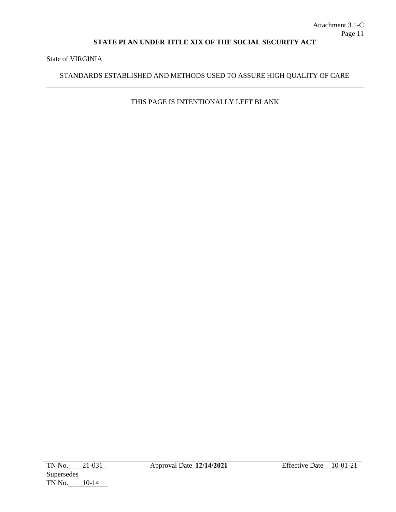State of VIRGINIA

## STANDARDS ESTABLISHED AND METHODS USED TO ASSURE HIGH QUALITY OF CARE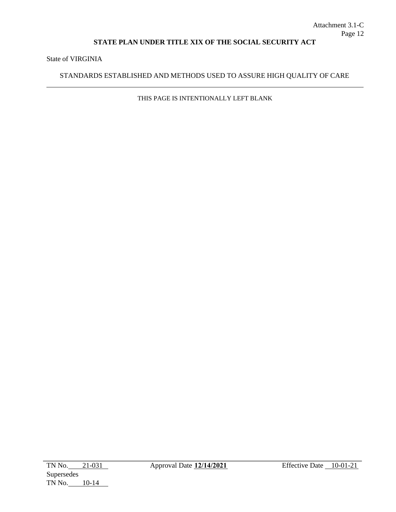State of VIRGINIA

## STANDARDS ESTABLISHED AND METHODS USED TO ASSURE HIGH QUALITY OF CARE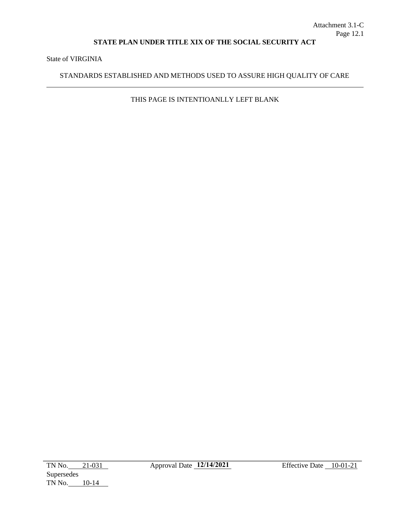State of VIRGINIA

## STANDARDS ESTABLISHED AND METHODS USED TO ASSURE HIGH QUALITY OF CARE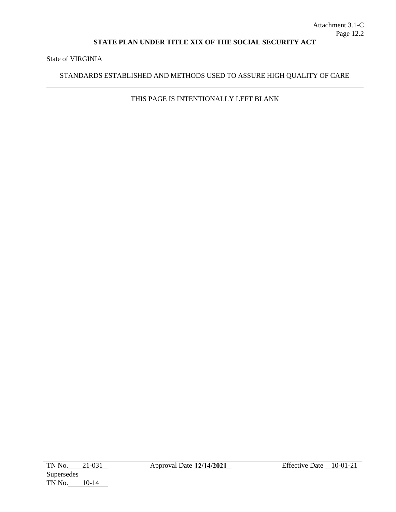State of VIRGINIA

## STANDARDS ESTABLISHED AND METHODS USED TO ASSURE HIGH QUALITY OF CARE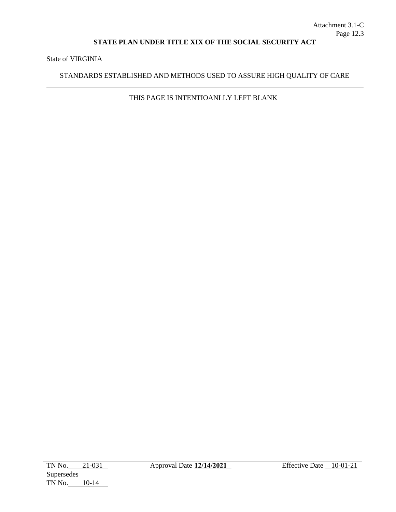State of VIRGINIA

## STANDARDS ESTABLISHED AND METHODS USED TO ASSURE HIGH QUALITY OF CARE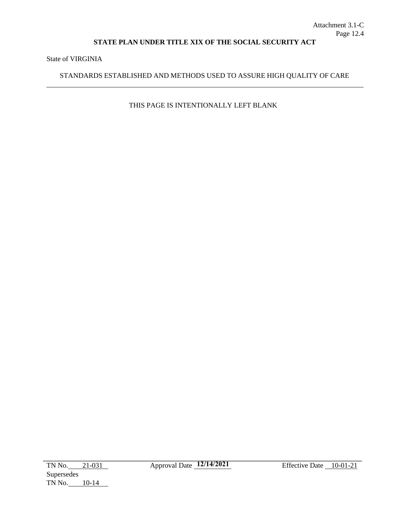State of VIRGINIA

## STANDARDS ESTABLISHED AND METHODS USED TO ASSURE HIGH QUALITY OF CARE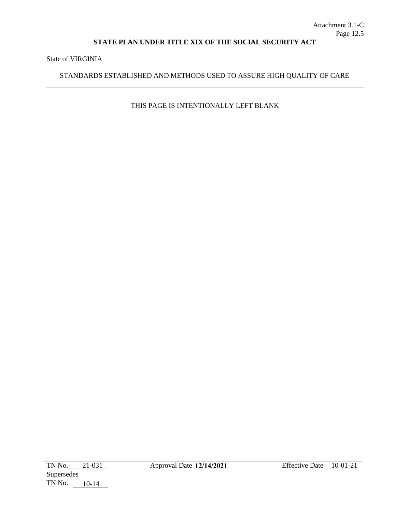State of VIRGINIA

STANDARDS ESTABLISHED AND METHODS USED TO ASSURE HIGH QUALITY OF CARE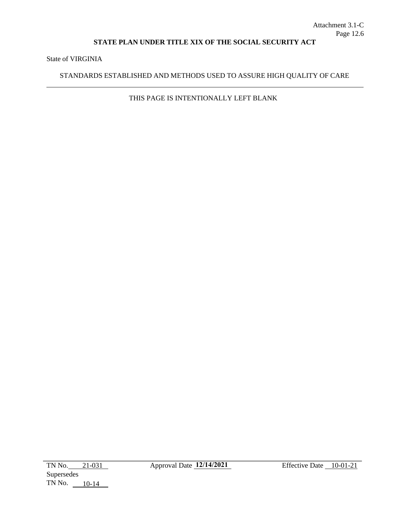State of VIRGINIA

## STANDARDS ESTABLISHED AND METHODS USED TO ASSURE HIGH QUALITY OF CARE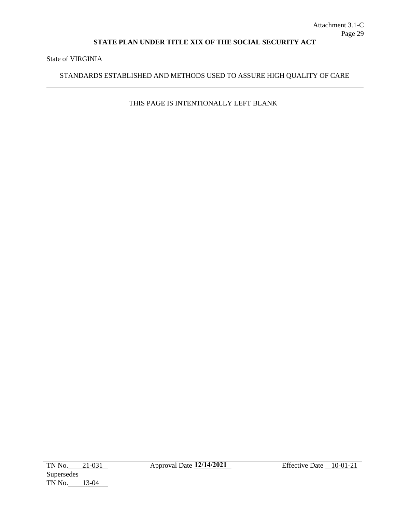State of VIRGINIA

## STANDARDS ESTABLISHED AND METHODS USED TO ASSURE HIGH QUALITY OF CARE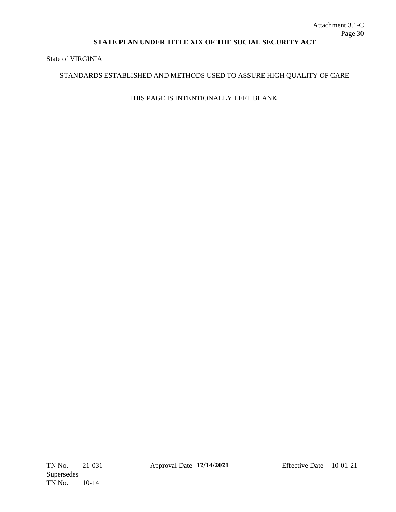State of VIRGINIA

## STANDARDS ESTABLISHED AND METHODS USED TO ASSURE HIGH QUALITY OF CARE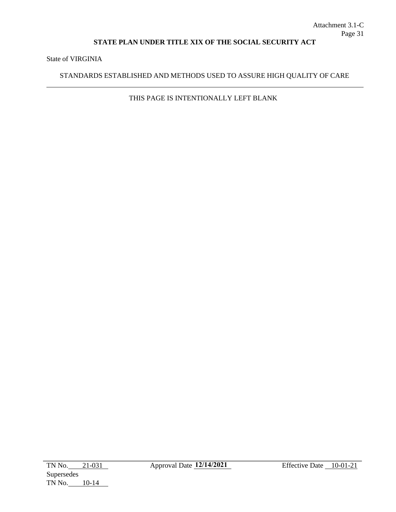State of VIRGINIA

## STANDARDS ESTABLISHED AND METHODS USED TO ASSURE HIGH QUALITY OF CARE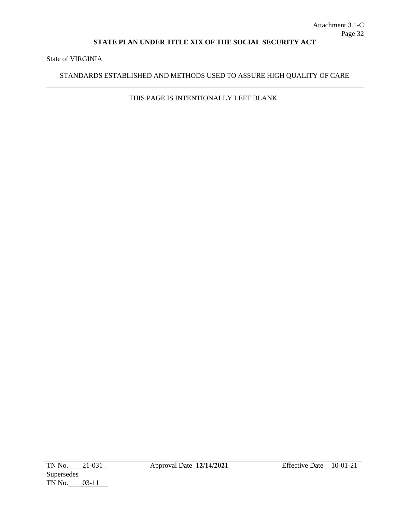State of VIRGINIA

## STANDARDS ESTABLISHED AND METHODS USED TO ASSURE HIGH QUALITY OF CARE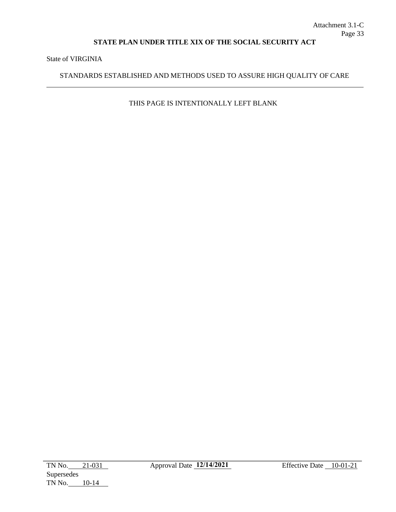State of VIRGINIA

## STANDARDS ESTABLISHED AND METHODS USED TO ASSURE HIGH QUALITY OF CARE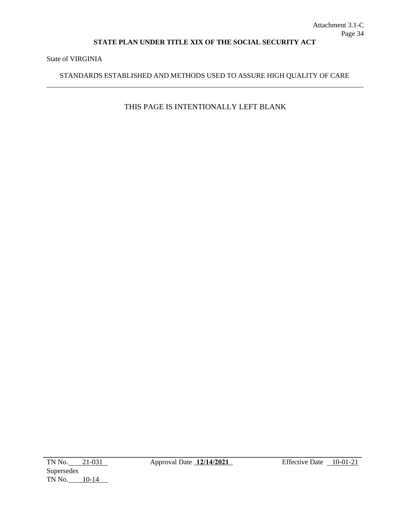State of VIRGINIA

STANDARDS ESTABLISHED AND METHODS USED TO ASSURE HIGH QUALITY OF CARE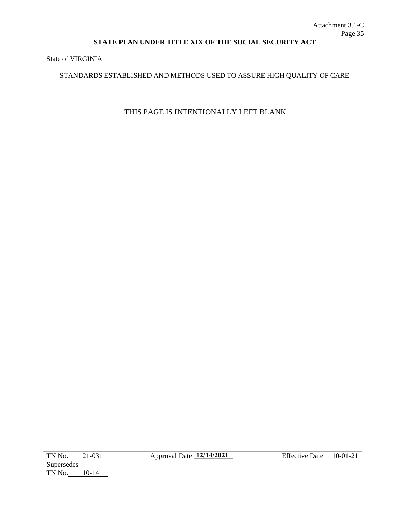State of VIRGINIA

STANDARDS ESTABLISHED AND METHODS USED TO ASSURE HIGH QUALITY OF CARE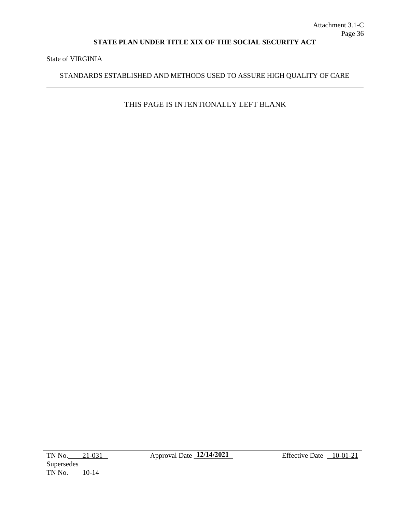State of VIRGINIA

STANDARDS ESTABLISHED AND METHODS USED TO ASSURE HIGH QUALITY OF CARE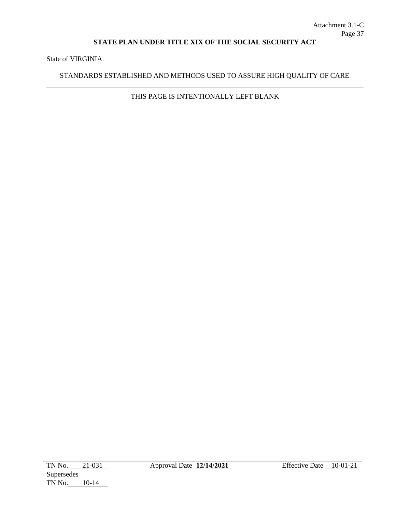State of VIRGINIA

## STANDARDS ESTABLISHED AND METHODS USED TO ASSURE HIGH QUALITY OF CARE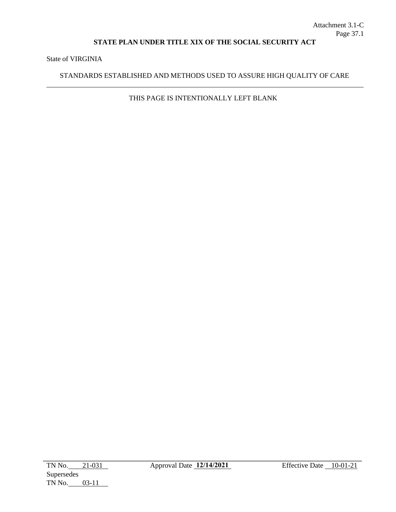State of VIRGINIA

## STANDARDS ESTABLISHED AND METHODS USED TO ASSURE HIGH QUALITY OF CARE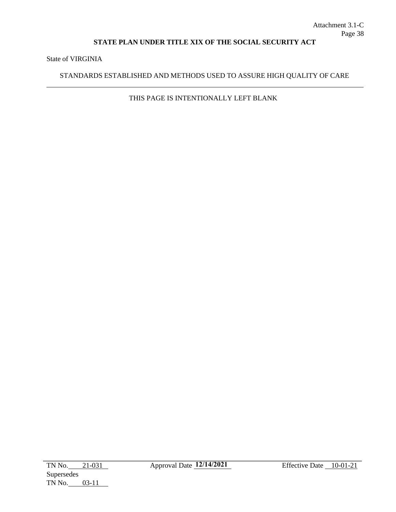State of VIRGINIA

## STANDARDS ESTABLISHED AND METHODS USED TO ASSURE HIGH QUALITY OF CARE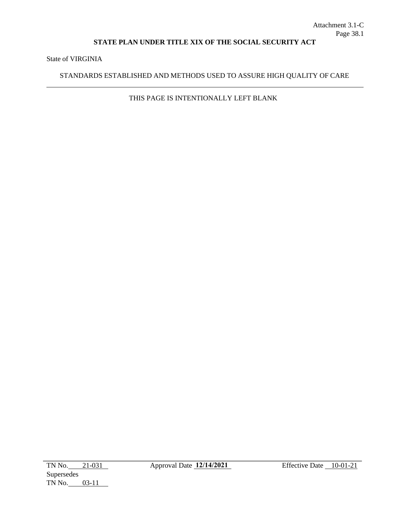State of VIRGINIA

## STANDARDS ESTABLISHED AND METHODS USED TO ASSURE HIGH QUALITY OF CARE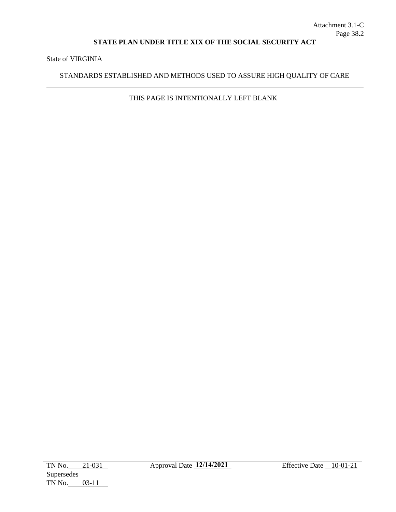State of VIRGINIA

## STANDARDS ESTABLISHED AND METHODS USED TO ASSURE HIGH QUALITY OF CARE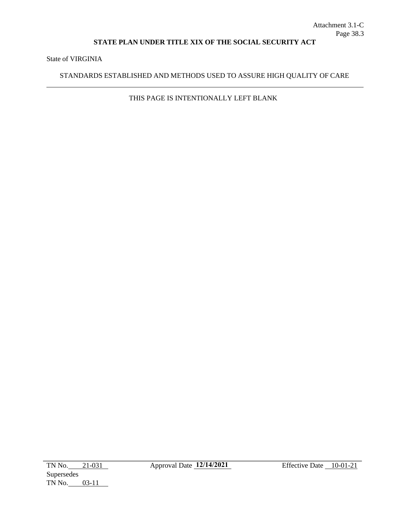State of VIRGINIA

## STANDARDS ESTABLISHED AND METHODS USED TO ASSURE HIGH QUALITY OF CARE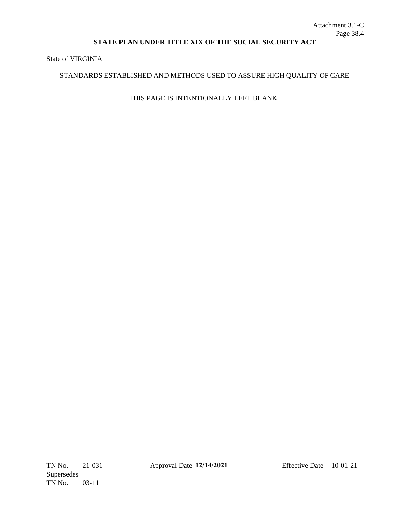State of VIRGINIA

## STANDARDS ESTABLISHED AND METHODS USED TO ASSURE HIGH QUALITY OF CARE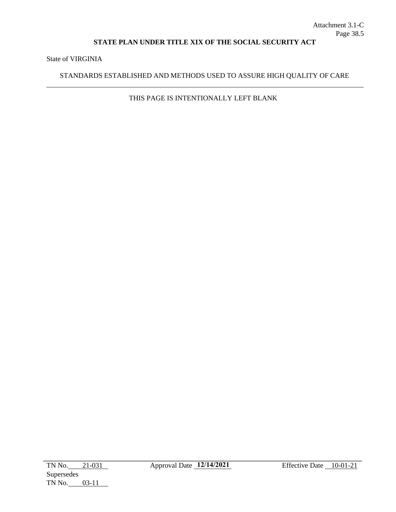State of VIRGINIA

## STANDARDS ESTABLISHED AND METHODS USED TO ASSURE HIGH QUALITY OF CARE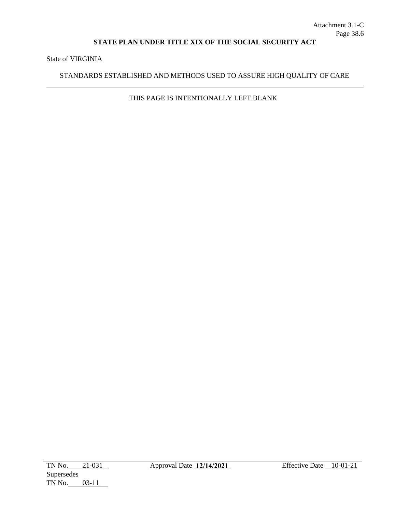State of VIRGINIA

## STANDARDS ESTABLISHED AND METHODS USED TO ASSURE HIGH QUALITY OF CARE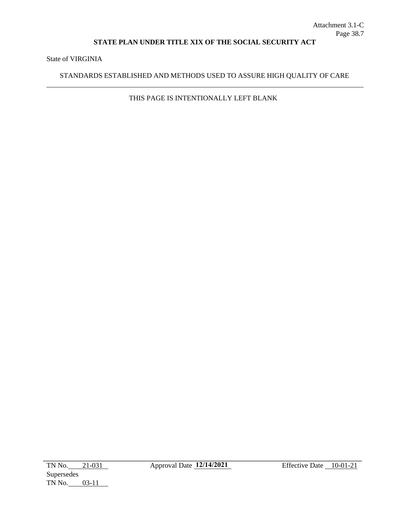State of VIRGINIA

## STANDARDS ESTABLISHED AND METHODS USED TO ASSURE HIGH QUALITY OF CARE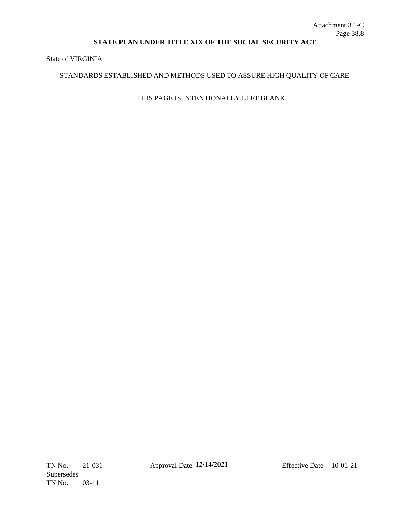State of VIRGINIA

## STANDARDS ESTABLISHED AND METHODS USED TO ASSURE HIGH QUALITY OF CARE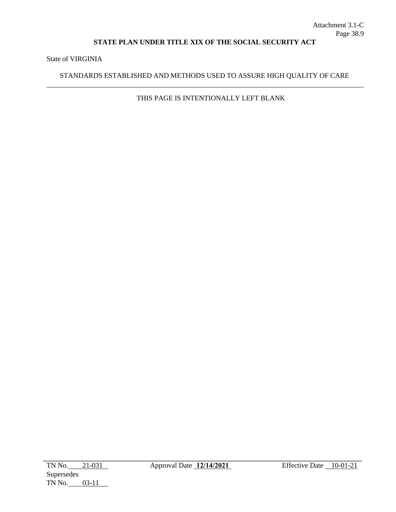State of VIRGINIA

## STANDARDS ESTABLISHED AND METHODS USED TO ASSURE HIGH QUALITY OF CARE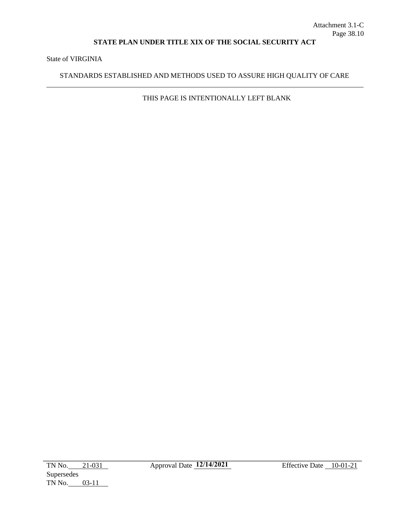State of VIRGINIA

## STANDARDS ESTABLISHED AND METHODS USED TO ASSURE HIGH QUALITY OF CARE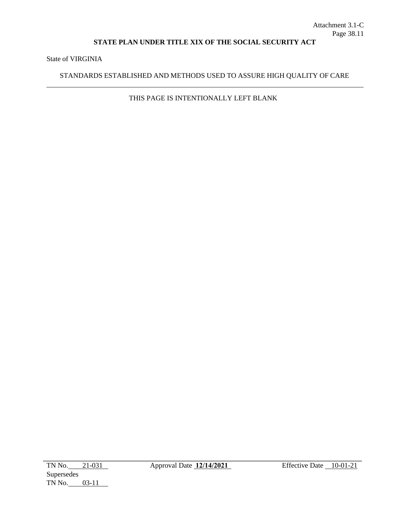State of VIRGINIA

## STANDARDS ESTABLISHED AND METHODS USED TO ASSURE HIGH QUALITY OF CARE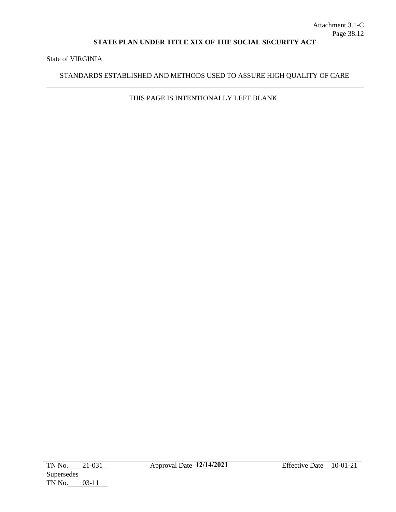State of VIRGINIA

## STANDARDS ESTABLISHED AND METHODS USED TO ASSURE HIGH QUALITY OF CARE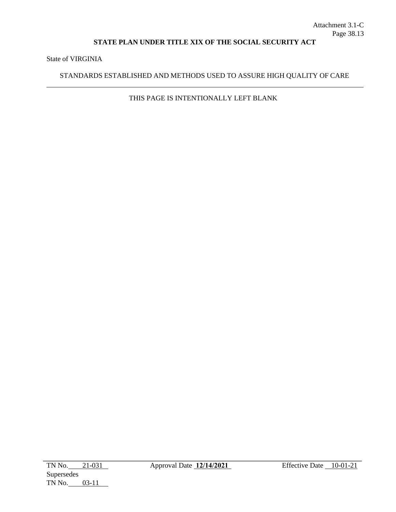State of VIRGINIA

## STANDARDS ESTABLISHED AND METHODS USED TO ASSURE HIGH QUALITY OF CARE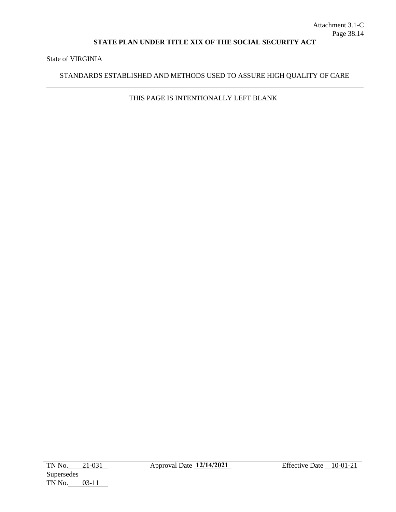State of VIRGINIA

## STANDARDS ESTABLISHED AND METHODS USED TO ASSURE HIGH QUALITY OF CARE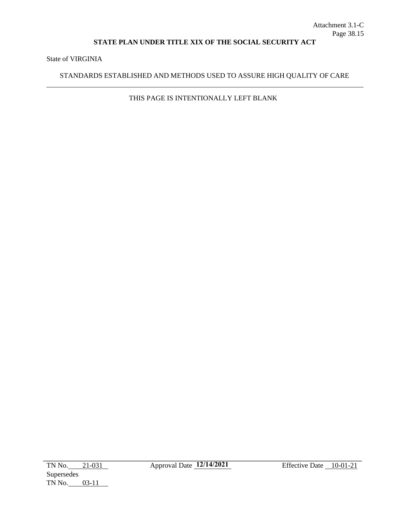State of VIRGINIA

## STANDARDS ESTABLISHED AND METHODS USED TO ASSURE HIGH QUALITY OF CARE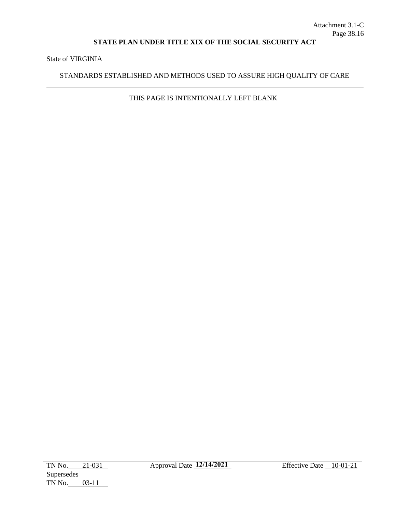State of VIRGINIA

## STANDARDS ESTABLISHED AND METHODS USED TO ASSURE HIGH QUALITY OF CARE